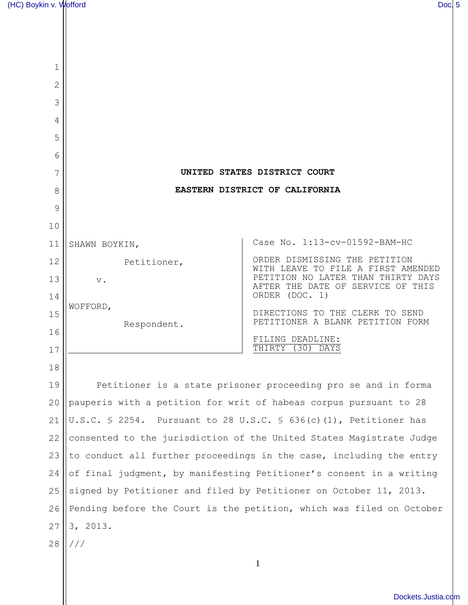| 1  |                                                                                          |                                                                         |
|----|------------------------------------------------------------------------------------------|-------------------------------------------------------------------------|
| 2  |                                                                                          |                                                                         |
| 3  |                                                                                          |                                                                         |
| 4  |                                                                                          |                                                                         |
| 5  |                                                                                          |                                                                         |
| 6  |                                                                                          |                                                                         |
| 7  | UNITED STATES DISTRICT COURT                                                             |                                                                         |
| 8  | EASTERN DISTRICT OF CALIFORNIA                                                           |                                                                         |
| 9  |                                                                                          |                                                                         |
| 10 |                                                                                          |                                                                         |
| 11 | SHAWN BOYKIN,                                                                            | Case No. 1:13-cv-01592-BAM-HC                                           |
| 12 | Petitioner,                                                                              | ORDER DISMISSING THE PETITION<br>WITH LEAVE TO FILE A FIRST AMENDED     |
| 13 | $V$ .                                                                                    | PETITION NO LATER THAN THIRTY DAYS<br>AFTER THE DATE OF SERVICE OF THIS |
| 14 |                                                                                          | ORDER (DOC. 1)                                                          |
| 15 | WOFFORD,                                                                                 | DIRECTIONS TO THE CLERK TO SEND<br>PETITIONER A BLANK PETITION FORM     |
| 16 | Respondent.                                                                              | FILING DEADLINE:                                                        |
| 17 |                                                                                          | THIRTY<br>(30)<br>DAYS                                                  |
| 18 |                                                                                          |                                                                         |
| 19 | Petitioner is a state prisoner proceeding pro se and in forma                            |                                                                         |
| 20 | pauperis with a petition for writ of habeas corpus pursuant to 28                        |                                                                         |
| 21 | U.S.C. $\frac{1}{5}$ 2254. Pursuant to 28 U.S.C. $\frac{1}{5}$ 636(c)(1), Petitioner has |                                                                         |
| 22 | consented to the jurisdiction of the United States Magistrate Judge                      |                                                                         |
| 23 | to conduct all further proceedings in the case, including the entry                      |                                                                         |
| 24 | of final judgment, by manifesting Petitioner's consent in a writing                      |                                                                         |
| 25 | signed by Petitioner and filed by Petitioner on October 11, 2013.                        |                                                                         |
| 26 | Pending before the Court is the petition, which was filed on October                     |                                                                         |
| 27 | 3, 2013.                                                                                 |                                                                         |
| 28 | ///                                                                                      |                                                                         |
|    |                                                                                          |                                                                         |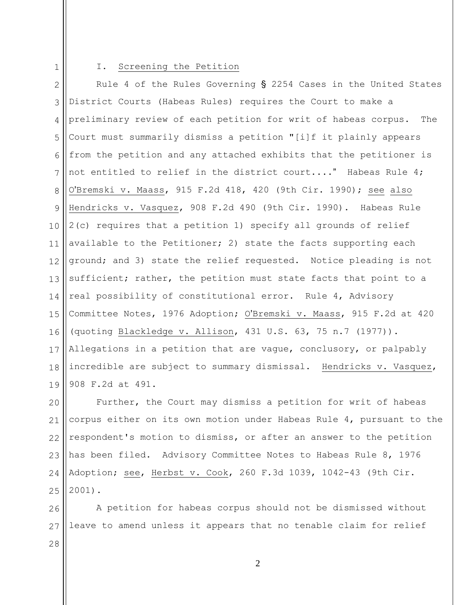1

## I. Screening the Petition

2 3 4 5 6 7 8 9 10 11 12 13 14 15 16 17 18 19 Rule 4 of the Rules Governing  $\S$  2254 Cases in the United States District Courts (Habeas Rules) requires the Court to make a preliminary review of each petition for writ of habeas corpus. The Court must summarily dismiss a petition "[i]f it plainly appears from the petition and any attached exhibits that the petitioner is not entitled to relief in the district court...." Habeas Rule 4; O'Bremski v. Maass,  $915$  F.2d  $418$ ,  $420$  (9th Cir. 1990); see also Hendricks v. Vasquez, 908 F.2d 490 (9th Cir. 1990). Habeas Rule 2(c) requires that a petition 1) specify all grounds of relief available to the Petitioner; 2) state the facts supporting each ground; and 3) state the relief requested. Notice pleading is not sufficient; rather, the petition must state facts that point to a real possibility of constitutional error. Rule 4, Advisory Committee Notes, 1976 Adoption; O'Bremski v. Maass, 915 F.2d at 420 (quoting Blackledge v. Allison, 431 U.S. 63, 75 n.7 (1977)). Allegations in a petition that are vague, conclusory, or palpably incredible are subject to summary dismissal. Hendricks v. Vasquez, 908 F.2d at 491.

20 21 22 23 24 25 Further, the Court may dismiss a petition for writ of habeas corpus either on its own motion under Habeas Rule 4, pursuant to the respondent's motion to dismiss, or after an answer to the petition has been filed. Advisory Committee Notes to Habeas Rule 8, 1976 Adoption; see, Herbst v. Cook, 260 F.3d 1039, 1042-43 (9th Cir. 2001).

26 27 28 A petition for habeas corpus should not be dismissed without leave to amend unless it appears that no tenable claim for relief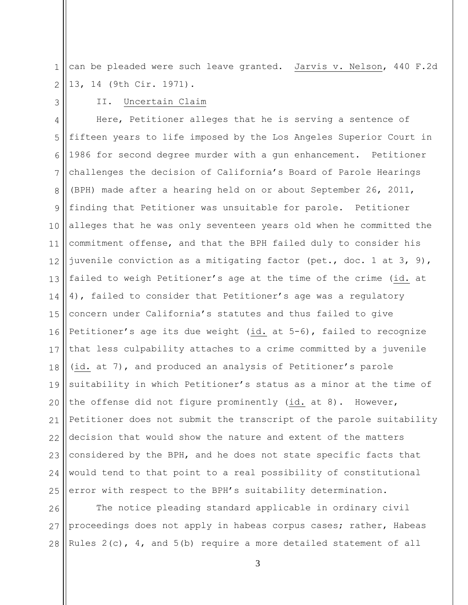1 2 can be pleaded were such leave granted. Jarvis v. Nelson, 440 F.2d 13, 14 (9th Cir. 1971).

3

## II. Uncertain Claim

4 5 6 7 8 9 10 11 12 13 14 15 16 17 18 19 20 21 22 23 24 25 Here, Petitioner alleges that he is serving a sentence of fifteen years to life imposed by the Los Angeles Superior Court in 1986 for second degree murder with a gun enhancement. Petitioner challenges the decision of California's Board of Parole Hearings (BPH) made after a hearing held on or about September 26, 2011, finding that Petitioner was unsuitable for parole. Petitioner alleges that he was only seventeen years old when he committed the commitment offense, and that the BPH failed duly to consider his juvenile conviction as a mitigating factor (pet., doc. 1 at 3, 9), failed to weigh Petitioner's age at the time of the crime (id. at 4), failed to consider that Petitioner's age was a regulatory concern under California's statutes and thus failed to give Petitioner's age its due weight (id. at 5-6), failed to recognize that less culpability attaches to a crime committed by a juvenile (id. at 7), and produced an analysis of Petitioner's parole suitability in which Petitioner's status as a minor at the time of the offense did not figure prominently (id. at 8). However, Petitioner does not submit the transcript of the parole suitability decision that would show the nature and extent of the matters considered by the BPH, and he does not state specific facts that would tend to that point to a real possibility of constitutional error with respect to the BPH's suitability determination.

26 27 28 The notice pleading standard applicable in ordinary civil proceedings does not apply in habeas corpus cases; rather, Habeas Rules  $2(c)$ ,  $4$ , and  $5(b)$  require a more detailed statement of all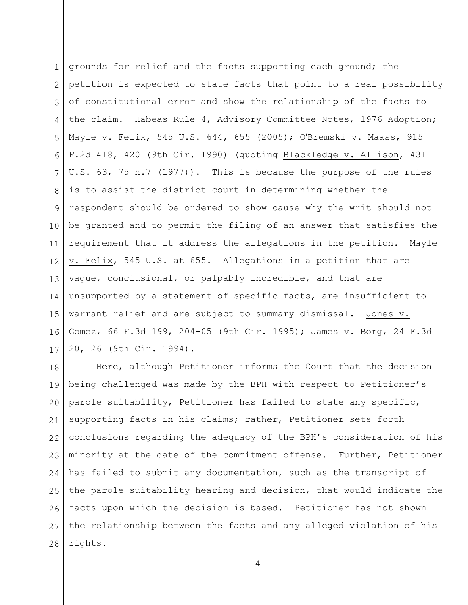1 2 3 4 5 6 7 8 9 10 11 12 13 14 15 16 17 grounds for relief and the facts supporting each ground; the petition is expected to state facts that point to a real possibility of constitutional error and show the relationship of the facts to the claim. Habeas Rule 4, Advisory Committee Notes, 1976 Adoption; Mayle v. Felix, 545 U.S. 644, 655 (2005); O'Bremski v. Maass, 915 F.2d 418, 420 (9th Cir. 1990) (quoting Blackledge v. Allison, 431 U.S. 63, 75 n.7 (1977)). This is because the purpose of the rules is to assist the district court in determining whether the respondent should be ordered to show cause why the writ should not be granted and to permit the filing of an answer that satisfies the requirement that it address the allegations in the petition. Mayle v. Felix, 545 U.S. at 655. Allegations in a petition that are vague, conclusional, or palpably incredible, and that are unsupported by a statement of specific facts, are insufficient to warrant relief and are subject to summary dismissal. Jones v. Gomez, 66 F.3d 199, 204-05 (9th Cir. 1995); James v. Borg, 24 F.3d 20, 26 (9th Cir. 1994).

18 19 20 21 22 23 24 25 26 27 28 Here, although Petitioner informs the Court that the decision being challenged was made by the BPH with respect to Petitioner's parole suitability, Petitioner has failed to state any specific, supporting facts in his claims; rather, Petitioner sets forth conclusions regarding the adequacy of the BPH's consideration of his minority at the date of the commitment offense. Further, Petitioner has failed to submit any documentation, such as the transcript of the parole suitability hearing and decision, that would indicate the facts upon which the decision is based. Petitioner has not shown the relationship between the facts and any alleged violation of his rights.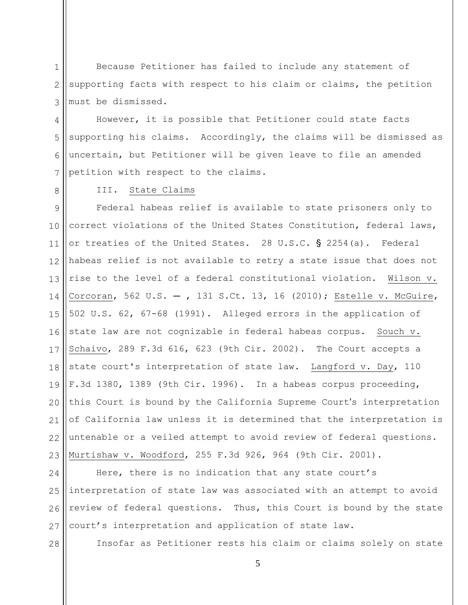1 2 3 Because Petitioner has failed to include any statement of supporting facts with respect to his claim or claims, the petition must be dismissed.

4 5 6 7 However, it is possible that Petitioner could state facts supporting his claims. Accordingly, the claims will be dismissed as uncertain, but Petitioner will be given leave to file an amended petition with respect to the claims.

8

## III. State Claims

9 10 11 12 13 14 15 16 17 18 19  $20$ 21 22 23 Federal habeas relief is available to state prisoners only to correct violations of the United States Constitution, federal laws, or treaties of the United States. 28 U.S.C.  $\S$  2254(a). Federal habeas relief is not available to retry a state issue that does not rise to the level of a federal constitutional violation. Wilson v. Corcoran, 562 U.S.  $-$ , 131 S.Ct. 13, 16 (2010); Estelle v. McGuire, 502 U.S. 62, 67-68 (1991). Alleged errors in the application of state law are not cognizable in federal habeas corpus. Souch v. Schaivo, 289 F.3d 616, 623 (9th Cir. 2002). The Court accepts a state court's interpretation of state law. Langford v. Day, 110 F.3d 1380, 1389 (9th Cir. 1996). In a habeas corpus proceeding, this Court is bound by the California Supreme Court's interpretation of California law unless it is determined that the interpretation is untenable or a veiled attempt to avoid review of federal questions. Murtishaw v. Woodford, 255 F.3d 926, 964 (9th Cir. 2001).

24 25 26 27 Here, there is no indication that any state court's interpretation of state law was associated with an attempt to avoid review of federal questions. Thus, this Court is bound by the state court's interpretation and application of state law.

28

Insofar as Petitioner rests his claim or claims solely on state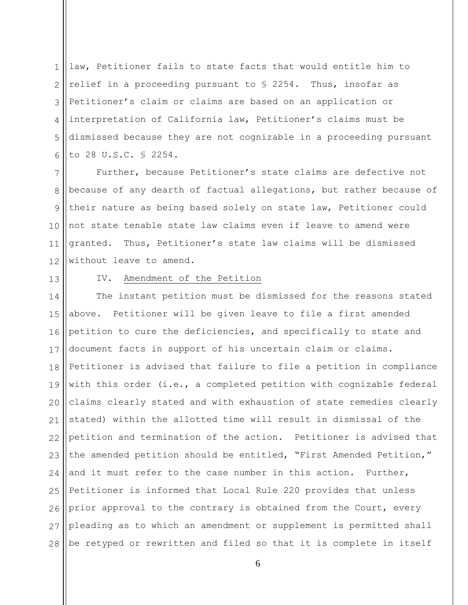1 2 3 4 5 6 law, Petitioner fails to state facts that would entitle him to relief in a proceeding pursuant to § 2254. Thus, insofar as Petitioner's claim or claims are based on an application or interpretation of California law, Petitioner's claims must be dismissed because they are not cognizable in a proceeding pursuant to 28 U.S.C. § 2254.

7 8 9 10 11 12 Further, because Petitioner's state claims are defective not because of any dearth of factual allegations, but rather because of their nature as being based solely on state law, Petitioner could not state tenable state law claims even if leave to amend were granted. Thus, Petitioner's state law claims will be dismissed without leave to amend.

13

## IV. Amendment of the Petition

14 15 16 17 18 19 20 21 22 23 24 25 26 27 28 The instant petition must be dismissed for the reasons stated above. Petitioner will be given leave to file a first amended petition to cure the deficiencies, and specifically to state and document facts in support of his uncertain claim or claims. Petitioner is advised that failure to file a petition in compliance with this order (i.e., a completed petition with cognizable federal claims clearly stated and with exhaustion of state remedies clearly stated) within the allotted time will result in dismissal of the petition and termination of the action. Petitioner is advised that the amended petition should be entitled, "First Amended Petition," and it must refer to the case number in this action. Further, Petitioner is informed that Local Rule 220 provides that unless prior approval to the contrary is obtained from the Court, every pleading as to which an amendment or supplement is permitted shall be retyped or rewritten and filed so that it is complete in itself

6